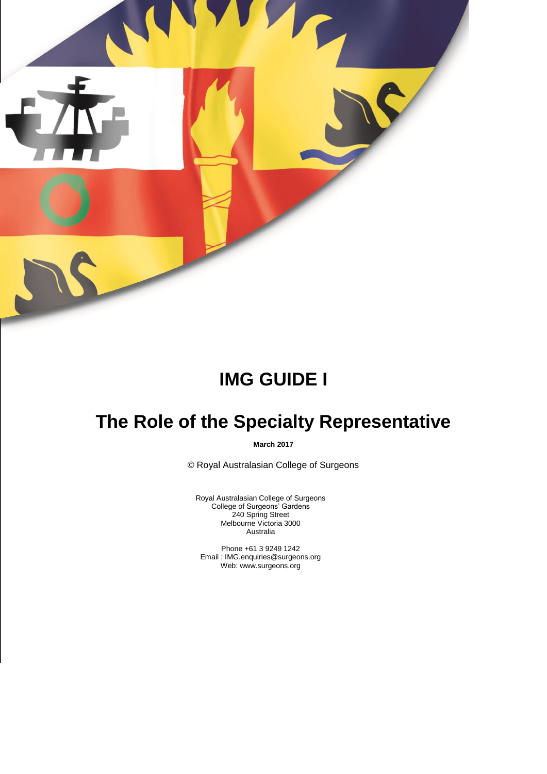

# **IMG GUIDE I**

# **The Role of the Specialty Representative**

**March 2017**

© Royal Australasian College of Surgeons

Royal Australasian College of Surgeons College of Surgeons' Gardens 240 Spring Street Melbourne Victoria 3000 Australia

Phone +61 3 9249 1242 Email : IMG.enquiries@surgeons.org Web: www.surgeons.org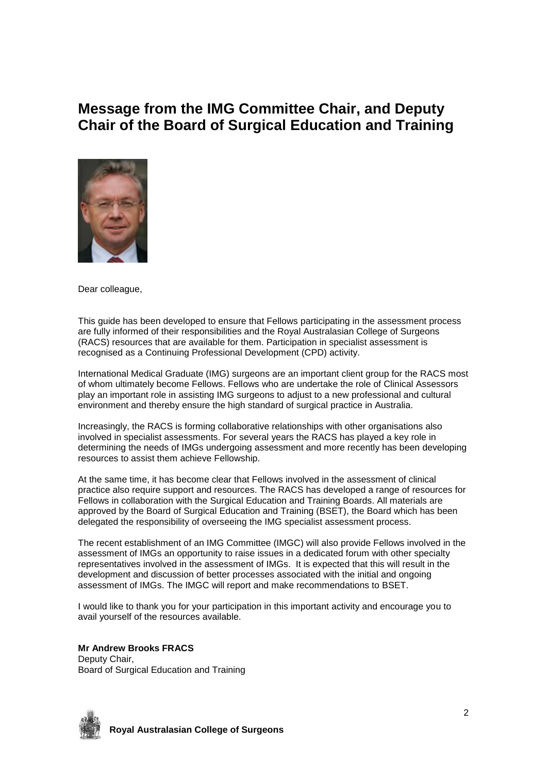# **Message from the IMG Committee Chair, and Deputy Chair of the Board of Surgical Education and Training**



Dear colleague,

This guide has been developed to ensure that Fellows participating in the assessment process are fully informed of their responsibilities and the Royal Australasian College of Surgeons (RACS) resources that are available for them. Participation in specialist assessment is recognised as a Continuing Professional Development (CPD) activity.

International Medical Graduate (IMG) surgeons are an important client group for the RACS most of whom ultimately become Fellows. Fellows who are undertake the role of Clinical Assessors play an important role in assisting IMG surgeons to adjust to a new professional and cultural environment and thereby ensure the high standard of surgical practice in Australia.

Increasingly, the RACS is forming collaborative relationships with other organisations also involved in specialist assessments. For several years the RACS has played a key role in determining the needs of IMGs undergoing assessment and more recently has been developing resources to assist them achieve Fellowship.

At the same time, it has become clear that Fellows involved in the assessment of clinical practice also require support and resources. The RACS has developed a range of resources for Fellows in collaboration with the Surgical Education and Training Boards. All materials are approved by the Board of Surgical Education and Training (BSET), the Board which has been delegated the responsibility of overseeing the IMG specialist assessment process.

The recent establishment of an IMG Committee (IMGC) will also provide Fellows involved in the assessment of IMGs an opportunity to raise issues in a dedicated forum with other specialty representatives involved in the assessment of IMGs. It is expected that this will result in the development and discussion of better processes associated with the initial and ongoing assessment of IMGs. The IMGC will report and make recommendations to BSET.

I would like to thank you for your participation in this important activity and encourage you to avail yourself of the resources available.

**Mr Andrew Brooks FRACS**

Deputy Chair, Board of Surgical Education and Training

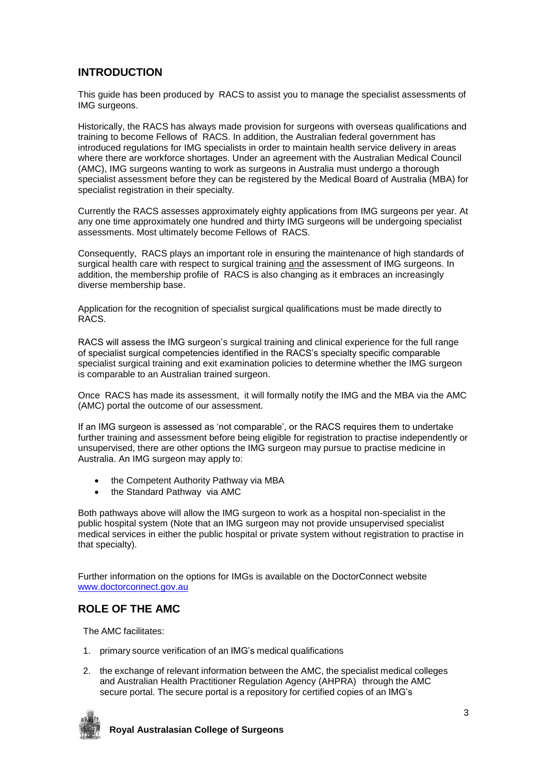# **INTRODUCTION**

This guide has been produced by RACS to assist you to manage the specialist assessments of IMG surgeons.

Historically, the RACS has always made provision for surgeons with overseas qualifications and training to become Fellows of RACS. In addition, the Australian federal government has introduced regulations for IMG specialists in order to maintain health service delivery in areas where there are workforce shortages. Under an agreement with the Australian Medical Council (AMC), IMG surgeons wanting to work as surgeons in Australia must undergo a thorough specialist assessment before they can be registered by the Medical Board of Australia (MBA) for specialist registration in their specialty.

Currently the RACS assesses approximately eighty applications from IMG surgeons per year. At any one time approximately one hundred and thirty IMG surgeons will be undergoing specialist assessments. Most ultimately become Fellows of RACS.

Consequently, RACS plays an important role in ensuring the maintenance of high standards of surgical health care with respect to surgical training and the assessment of IMG surgeons. In addition, the membership profile of RACS is also changing as it embraces an increasingly diverse membership base.

Application for the recognition of specialist surgical qualifications must be made directly to RACS.

RACS will assess the IMG surgeon's surgical training and clinical experience for the full range of specialist surgical competencies identified in the RACS's specialty specific comparable specialist surgical training and exit examination policies to determine whether the IMG surgeon is comparable to an Australian trained surgeon.

Once RACS has made its assessment, it will formally notify the IMG and the MBA via the AMC (AMC) portal the outcome of our assessment.

If an IMG surgeon is assessed as 'not comparable', or the RACS requires them to undertake further training and assessment before being eligible for registration to practise independently or unsupervised, there are other options the IMG surgeon may pursue to practise medicine in Australia. An IMG surgeon may apply to:

- the Competent Authority Pathway via MBA
- the Standard Pathway via AMC

Both pathways above will allow the IMG surgeon to work as a hospital non-specialist in the public hospital system (Note that an IMG surgeon may not provide unsupervised specialist medical services in either the public hospital or private system without registration to practise in that specialty).

Further information on the options for IMGs is available on the DoctorConnect website [www.doctorconnect.gov.au](http://www.doctorconnect.gov.au/)

## **ROLE OF THE AMC**

The AMC facilitates:

- 1. primary source verification of an IMG's medical qualifications
- 2. the exchange of relevant information between the AMC, the specialist medical colleges and Australian Health Practitioner Regulation Agency (AHPRA) through the AMC secure portal. The secure portal is a repository for certified copies of an IMG's

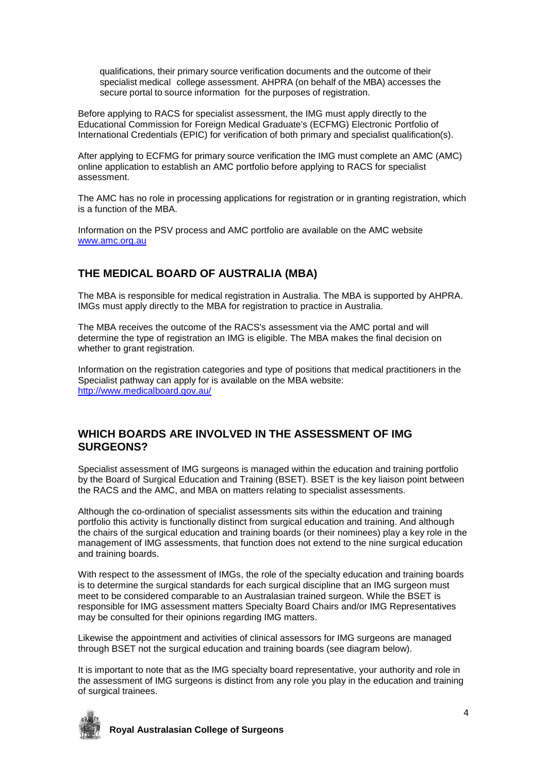qualifications, their primary source verification documents and the outcome of their specialist medical college assessment. AHPRA (on behalf of the MBA) accesses the secure portal to source information for the purposes of registration.

Before applying to RACS for specialist assessment, the IMG must apply directly to the Educational Commission for Foreign Medical Graduate's (ECFMG) Electronic Portfolio of International Credentials (EPIC) for verification of both primary and specialist qualification(s).

After applying to ECFMG for primary source verification the IMG must complete an AMC (AMC) online application to establish an AMC portfolio before applying to RACS for specialist assessment.

The AMC has no role in processing applications for registration or in granting registration, which is a function of the MBA.

Information on the PSV process and AMC portfolio are available on the AMC website [www.amc.org.au](http://www.amc.org.au/)

# **THE MEDICAL BOARD OF AUSTRALIA (MBA)**

The MBA is responsible for medical registration in Australia. The MBA is supported by AHPRA. IMGs must apply directly to the MBA for registration to practice in Australia.

The MBA receives the outcome of the RACS's assessment via the AMC portal and will determine the type of registration an IMG is eligible. The MBA makes the final decision on whether to grant registration.

Information on the registration categories and type of positions that medical practitioners in the Specialist pathway can apply for is available on the MBA website: <http://www.medicalboard.gov.au/>

# **WHICH BOARDS ARE INVOLVED IN THE ASSESSMENT OF IMG SURGEONS?**

Specialist assessment of IMG surgeons is managed within the education and training portfolio by the Board of Surgical Education and Training (BSET). BSET is the key liaison point between the RACS and the AMC, and MBA on matters relating to specialist assessments.

Although the co-ordination of specialist assessments sits within the education and training portfolio this activity is functionally distinct from surgical education and training. And although the chairs of the surgical education and training boards (or their nominees) play a key role in the management of IMG assessments, that function does not extend to the nine surgical education and training boards.

With respect to the assessment of IMGs, the role of the specialty education and training boards is to determine the surgical standards for each surgical discipline that an IMG surgeon must meet to be considered comparable to an Australasian trained surgeon. While the BSET is responsible for IMG assessment matters Specialty Board Chairs and/or IMG Representatives may be consulted for their opinions regarding IMG matters.

Likewise the appointment and activities of clinical assessors for IMG surgeons are managed through BSET not the surgical education and training boards (see diagram below).

It is important to note that as the IMG specialty board representative, your authority and role in the assessment of IMG surgeons is distinct from any role you play in the education and training of surgical trainees.

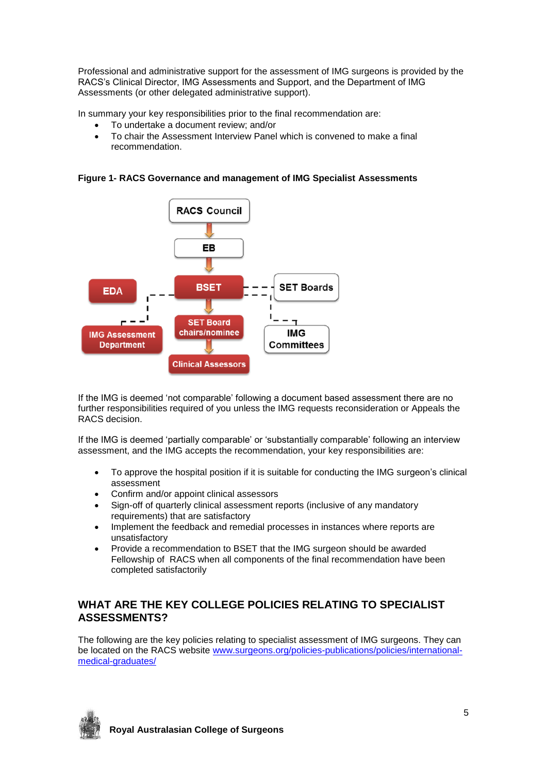Professional and administrative support for the assessment of IMG surgeons is provided by the RACS's Clinical Director, IMG Assessments and Support, and the Department of IMG Assessments (or other delegated administrative support).

In summary your key responsibilities prior to the final recommendation are:

- To undertake a document review; and/or
- To chair the Assessment Interview Panel which is convened to make a final recommendation.

**Figure 1- RACS Governance and management of IMG Specialist Assessments**



If the IMG is deemed 'not comparable' following a document based assessment there are no further responsibilities required of you unless the IMG requests reconsideration or Appeals the RACS decision.

If the IMG is deemed 'partially comparable' or 'substantially comparable' following an interview assessment, and the IMG accepts the recommendation, your key responsibilities are:

- To approve the hospital position if it is suitable for conducting the IMG surgeon's clinical assessment
- Confirm and/or appoint clinical assessors
- Sign-off of quarterly clinical assessment reports (inclusive of any mandatory requirements) that are satisfactory
- Implement the feedback and remedial processes in instances where reports are unsatisfactory
- Provide a recommendation to BSET that the IMG surgeon should be awarded Fellowship of RACS when all components of the final recommendation have been completed satisfactorily

# **WHAT ARE THE KEY COLLEGE POLICIES RELATING TO SPECIALIST ASSESSMENTS?**

The following are the key policies relating to specialist assessment of IMG surgeons. They can be located on the RACS website [www.surgeons.org/policies-publications/policies/international](http://www.surgeons.org/policies-publications/policies/international-medical-graduates/)[medical-graduates/](http://www.surgeons.org/policies-publications/policies/international-medical-graduates/)

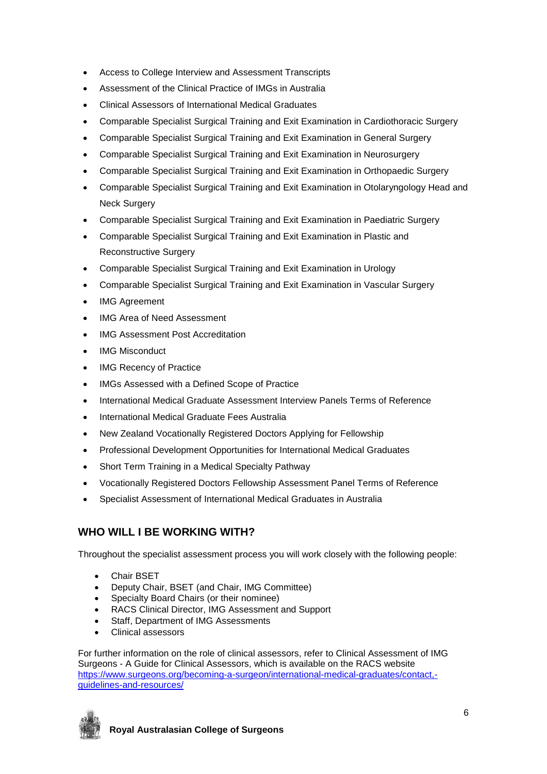- Access to College Interview and Assessment Transcripts
- Assessment of the Clinical Practice of IMGs in Australia
- Clinical Assessors of International Medical Graduates
- Comparable Specialist Surgical Training and Exit Examination in Cardiothoracic Surgery
- Comparable Specialist Surgical Training and Exit Examination in General Surgery
- Comparable Specialist Surgical Training and Exit Examination in Neurosurgery
- Comparable Specialist Surgical Training and Exit Examination in Orthopaedic Surgery
- Comparable Specialist Surgical Training and Exit Examination in Otolaryngology Head and Neck Surgery
- Comparable Specialist Surgical Training and Exit Examination in Paediatric Surgery
- Comparable Specialist Surgical Training and Exit Examination in Plastic and Reconstructive Surgery
- Comparable Specialist Surgical Training and Exit Examination in Urology
- Comparable Specialist Surgical Training and Exit Examination in Vascular Surgery
- IMG Agreement
- IMG Area of Need Assessment
- IMG Assessment Post Accreditation
- IMG Misconduct
- IMG Recency of Practice
- IMGs Assessed with a Defined Scope of Practice
- International Medical Graduate Assessment Interview Panels Terms of Reference
- International Medical Graduate Fees Australia
- New Zealand Vocationally Registered Doctors Applying for Fellowship
- Professional Development Opportunities for International Medical Graduates
- Short Term Training in a Medical Specialty Pathway
- Vocationally Registered Doctors Fellowship Assessment Panel Terms of Reference
- Specialist Assessment of International Medical Graduates in Australia

# **WHO WILL I BE WORKING WITH?**

Throughout the specialist assessment process you will work closely with the following people:

- Chair BSET
- Deputy Chair, BSET (and Chair, IMG Committee)
- Specialty Board Chairs (or their nominee)
- RACS Clinical Director, IMG Assessment and Support
- Staff, Department of IMG Assessments
- Clinical assessors

For further information on the role of clinical assessors, refer to Clinical Assessment of IMG Surgeons - A Guide for Clinical Assessors, which is available on the RACS website [https://www.surgeons.org/becoming-a-surgeon/international-medical-graduates/contact,](https://www.surgeons.org/becoming-a-surgeon/international-medical-graduates/contact,-guidelines-and-resources/) [guidelines-and-resources/](https://www.surgeons.org/becoming-a-surgeon/international-medical-graduates/contact,-guidelines-and-resources/)

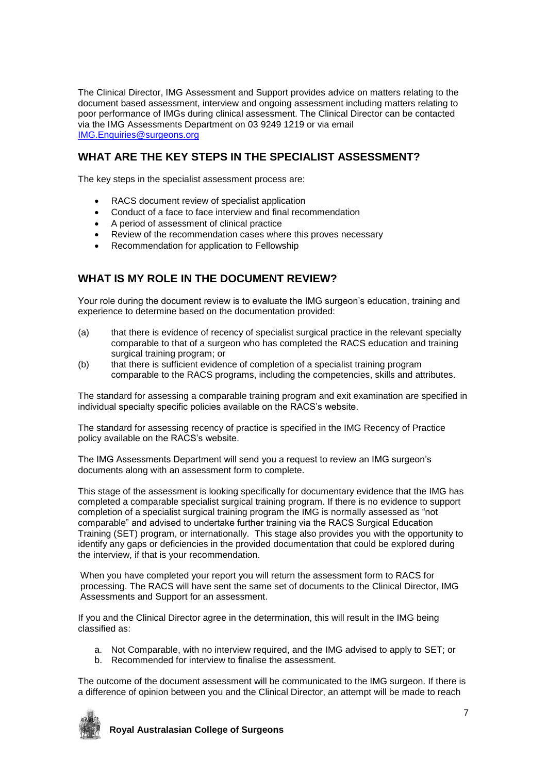The Clinical Director, IMG Assessment and Support provides advice on matters relating to the document based assessment, interview and ongoing assessment including matters relating to poor performance of IMGs during clinical assessment. The Clinical Director can be contacted via the IMG Assessments Department on 03 9249 1219 or via email [IMG.Enquiries@surgeons.org](mailto:IMG.Enquiries@surgeons.org)

# **WHAT ARE THE KEY STEPS IN THE SPECIALIST ASSESSMENT?**

The key steps in the specialist assessment process are:

- RACS document review of specialist application
- Conduct of a face to face interview and final recommendation
- A period of assessment of clinical practice
- Review of the recommendation cases where this proves necessary
- Recommendation for application to Fellowship

## **WHAT IS MY ROLE IN THE DOCUMENT REVIEW?**

Your role during the document review is to evaluate the IMG surgeon's education, training and experience to determine based on the documentation provided:

- (a) that there is evidence of recency of specialist surgical practice in the relevant specialty comparable to that of a surgeon who has completed the RACS education and training surgical training program; or
- (b) that there is sufficient evidence of completion of a specialist training program comparable to the RACS programs, including the competencies, skills and attributes.

The standard for assessing a comparable training program and exit examination are specified in individual specialty specific policies available on the RACS's website.

The standard for assessing recency of practice is specified in the IMG Recency of Practice policy available on the RACS's website.

The IMG Assessments Department will send you a request to review an IMG surgeon's documents along with an assessment form to complete.

This stage of the assessment is looking specifically for documentary evidence that the IMG has completed a comparable specialist surgical training program. If there is no evidence to support completion of a specialist surgical training program the IMG is normally assessed as "not comparable" and advised to undertake further training via the RACS Surgical Education Training (SET) program, or internationally. This stage also provides you with the opportunity to identify any gaps or deficiencies in the provided documentation that could be explored during the interview, if that is your recommendation.

When you have completed your report you will return the assessment form to RACS for processing. The RACS will have sent the same set of documents to the Clinical Director, IMG Assessments and Support for an assessment.

If you and the Clinical Director agree in the determination, this will result in the IMG being classified as:

- a. Not Comparable, with no interview required, and the IMG advised to apply to SET; or
- b. Recommended for interview to finalise the assessment.

The outcome of the document assessment will be communicated to the IMG surgeon. If there is a difference of opinion between you and the Clinical Director, an attempt will be made to reach

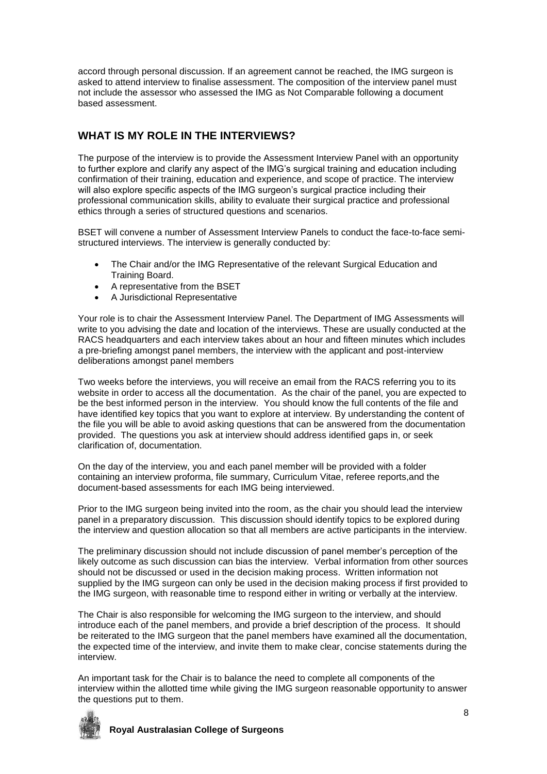accord through personal discussion. If an agreement cannot be reached, the IMG surgeon is asked to attend interview to finalise assessment. The composition of the interview panel must not include the assessor who assessed the IMG as Not Comparable following a document based assessment.

# **WHAT IS MY ROLE IN THE INTERVIEWS?**

The purpose of the interview is to provide the Assessment Interview Panel with an opportunity to further explore and clarify any aspect of the IMG's surgical training and education including confirmation of their training, education and experience, and scope of practice. The interview will also explore specific aspects of the IMG surgeon's surgical practice including their professional communication skills, ability to evaluate their surgical practice and professional ethics through a series of structured questions and scenarios.

BSET will convene a number of Assessment Interview Panels to conduct the face-to-face semistructured interviews. The interview is generally conducted by:

- The Chair and/or the IMG Representative of the relevant Surgical Education and Training Board.
- A representative from the BSET
- A Jurisdictional Representative

Your role is to chair the Assessment Interview Panel. The Department of IMG Assessments will write to you advising the date and location of the interviews. These are usually conducted at the RACS headquarters and each interview takes about an hour and fifteen minutes which includes a pre-briefing amongst panel members, the interview with the applicant and post-interview deliberations amongst panel members

Two weeks before the interviews, you will receive an email from the RACS referring you to its website in order to access all the documentation. As the chair of the panel, you are expected to be the best informed person in the interview. You should know the full contents of the file and have identified key topics that you want to explore at interview. By understanding the content of the file you will be able to avoid asking questions that can be answered from the documentation provided. The questions you ask at interview should address identified gaps in, or seek clarification of, documentation.

On the day of the interview, you and each panel member will be provided with a folder containing an interview proforma, file summary, Curriculum Vitae, referee reports,and the document-based assessments for each IMG being interviewed.

Prior to the IMG surgeon being invited into the room, as the chair you should lead the interview panel in a preparatory discussion. This discussion should identify topics to be explored during the interview and question allocation so that all members are active participants in the interview.

The preliminary discussion should not include discussion of panel member's perception of the likely outcome as such discussion can bias the interview. Verbal information from other sources should not be discussed or used in the decision making process. Written information not supplied by the IMG surgeon can only be used in the decision making process if first provided to the IMG surgeon, with reasonable time to respond either in writing or verbally at the interview.

The Chair is also responsible for welcoming the IMG surgeon to the interview, and should introduce each of the panel members, and provide a brief description of the process. It should be reiterated to the IMG surgeon that the panel members have examined all the documentation, the expected time of the interview, and invite them to make clear, concise statements during the interview.

An important task for the Chair is to balance the need to complete all components of the interview within the allotted time while giving the IMG surgeon reasonable opportunity to answer the questions put to them.

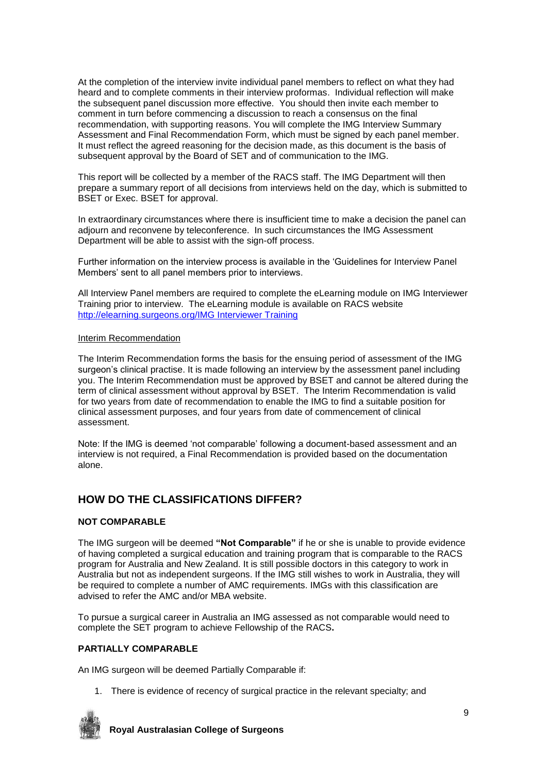At the completion of the interview invite individual panel members to reflect on what they had heard and to complete comments in their interview proformas. Individual reflection will make the subsequent panel discussion more effective. You should then invite each member to comment in turn before commencing a discussion to reach a consensus on the final recommendation, with supporting reasons. You will complete the IMG Interview Summary Assessment and Final Recommendation Form, which must be signed by each panel member. It must reflect the agreed reasoning for the decision made, as this document is the basis of subsequent approval by the Board of SET and of communication to the IMG.

This report will be collected by a member of the RACS staff. The IMG Department will then prepare a summary report of all decisions from interviews held on the day, which is submitted to BSET or Exec. BSET for approval.

In extraordinary circumstances where there is insufficient time to make a decision the panel can adjourn and reconvene by teleconference. In such circumstances the IMG Assessment Department will be able to assist with the sign-off process.

Further information on the interview process is available in the 'Guidelines for Interview Panel Members' sent to all panel members prior to interviews.

All Interview Panel members are required to complete the eLearning module on IMG Interviewer Training prior to interview. The eLearning module is available on RACS website [http://elearning.surgeons.org/IMG Interviewer Training](http://elearning.surgeons.org/course/view.php?id=227)

#### Interim Recommendation

The Interim Recommendation forms the basis for the ensuing period of assessment of the IMG surgeon's clinical practise. It is made following an interview by the assessment panel including you. The Interim Recommendation must be approved by BSET and cannot be altered during the term of clinical assessment without approval by BSET. The Interim Recommendation is valid for two years from date of recommendation to enable the IMG to find a suitable position for clinical assessment purposes, and four years from date of commencement of clinical assessment.

Note: If the IMG is deemed 'not comparable' following a document-based assessment and an interview is not required, a Final Recommendation is provided based on the documentation alone.

## **HOW DO THE CLASSIFICATIONS DIFFER?**

#### **NOT COMPARABLE**

The IMG surgeon will be deemed **"Not Comparable"** if he or she is unable to provide evidence of having completed a surgical education and training program that is comparable to the RACS program for Australia and New Zealand. It is still possible doctors in this category to work in Australia but not as independent surgeons. If the IMG still wishes to work in Australia, they will be required to complete a number of AMC requirements. IMGs with this classification are advised to refer the AMC and/or MBA website.

To pursue a surgical career in Australia an IMG assessed as not comparable would need to complete the SET program to achieve Fellowship of the RACS**.**

#### **PARTIALLY COMPARABLE**

An IMG surgeon will be deemed Partially Comparable if:

1. There is evidence of recency of surgical practice in the relevant specialty; and

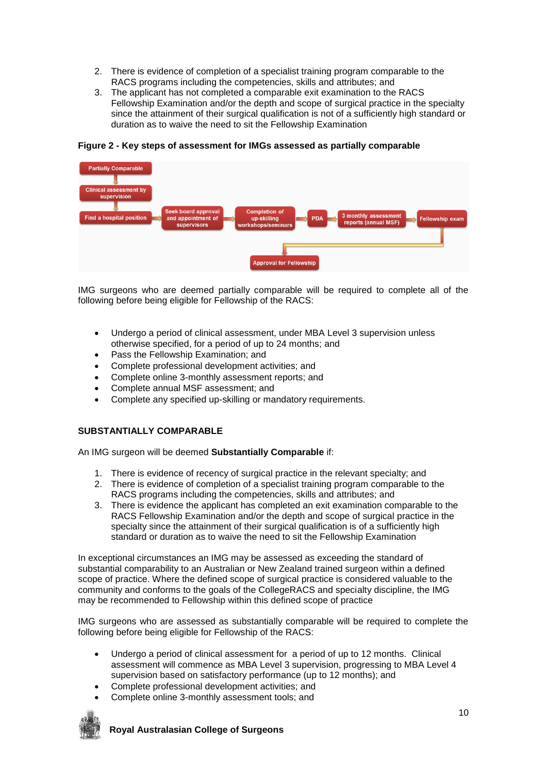- 2. There is evidence of completion of a specialist training program comparable to the RACS programs including the competencies, skills and attributes; and
- 3. The applicant has not completed a comparable exit examination to the RACS Fellowship Examination and/or the depth and scope of surgical practice in the specialty since the attainment of their surgical qualification is not of a sufficiently high standard or duration as to waive the need to sit the Fellowship Examination



**Figure 2 - Key steps of assessment for IMGs assessed as partially comparable**

IMG surgeons who are deemed partially comparable will be required to complete all of the following before being eligible for Fellowship of the RACS:

- Undergo a period of clinical assessment, under MBA Level 3 supervision unless otherwise specified, for a period of up to 24 months; and
- Pass the Fellowship Examination; and
- Complete professional development activities; and
- Complete online 3-monthly assessment reports; and
- Complete annual MSF assessment; and
- Complete any specified up-skilling or mandatory requirements.

### **SUBSTANTIALLY COMPARABLE**

An IMG surgeon will be deemed **Substantially Comparable** if:

- 1. There is evidence of recency of surgical practice in the relevant specialty; and
- 2. There is evidence of completion of a specialist training program comparable to the RACS programs including the competencies, skills and attributes; and
- 3. There is evidence the applicant has completed an exit examination comparable to the RACS Fellowship Examination and/or the depth and scope of surgical practice in the specialty since the attainment of their surgical qualification is of a sufficiently high standard or duration as to waive the need to sit the Fellowship Examination

In exceptional circumstances an IMG may be assessed as exceeding the standard of substantial comparability to an Australian or New Zealand trained surgeon within a defined scope of practice. Where the defined scope of surgical practice is considered valuable to the community and conforms to the goals of the CollegeRACS and specialty discipline, the IMG may be recommended to Fellowship within this defined scope of practice

IMG surgeons who are assessed as substantially comparable will be required to complete the following before being eligible for Fellowship of the RACS:

- Undergo a period of clinical assessment for a period of up to 12 months. Clinical assessment will commence as MBA Level 3 supervision, progressing to MBA Level 4 supervision based on satisfactory performance (up to 12 months); and
- Complete professional development activities; and
- Complete online 3-monthly assessment tools; and

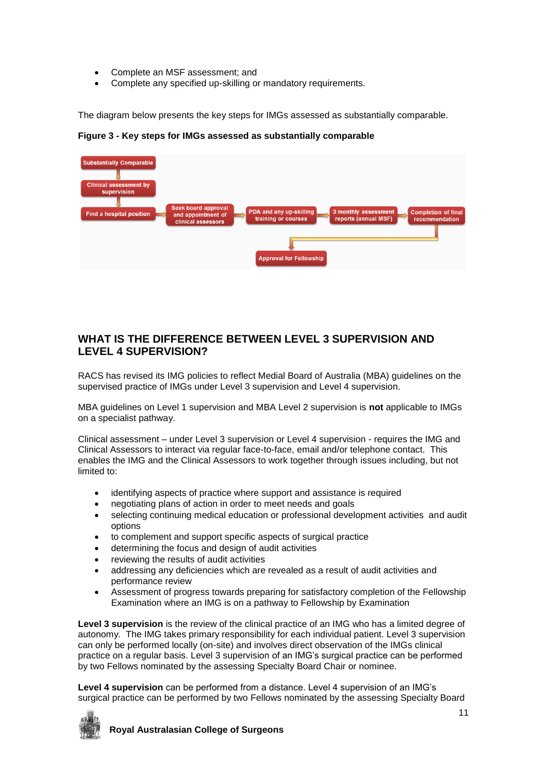- Complete an MSF assessment; and
- Complete any specified up-skilling or mandatory requirements.

The diagram below presents the key steps for IMGs assessed as substantially comparable.

**Figure 3 - Key steps for IMGs assessed as substantially comparable**



# **WHAT IS THE DIFFERENCE BETWEEN LEVEL 3 SUPERVISION AND LEVEL 4 SUPERVISION?**

RACS has revised its IMG policies to reflect Medial Board of Australia (MBA) guidelines on the supervised practice of IMGs under Level 3 supervision and Level 4 supervision.

MBA guidelines on Level 1 supervision and MBA Level 2 supervision is **not** applicable to IMGs on a specialist pathway.

Clinical assessment – under Level 3 supervision or Level 4 supervision - requires the IMG and Clinical Assessors to interact via regular face-to-face, email and/or telephone contact. This enables the IMG and the Clinical Assessors to work together through issues including, but not limited to:

- identifying aspects of practice where support and assistance is required
- negotiating plans of action in order to meet needs and goals
- selecting continuing medical education or professional development activities and audit options
- to complement and support specific aspects of surgical practice
- determining the focus and design of audit activities
- reviewing the results of audit activities
- addressing any deficiencies which are revealed as a result of audit activities and performance review
- Assessment of progress towards preparing for satisfactory completion of the Fellowship Examination where an IMG is on a pathway to Fellowship by Examination

**Level 3 supervision** is the review of the clinical practice of an IMG who has a limited degree of autonomy. The IMG takes primary responsibility for each individual patient. Level 3 supervision can only be performed locally (on-site) and involves direct observation of the IMGs clinical practice on a regular basis. Level 3 supervision of an IMG's surgical practice can be performed by two Fellows nominated by the assessing Specialty Board Chair or nominee.

**Level 4 supervision** can be performed from a distance. Level 4 supervision of an IMG's surgical practice can be performed by two Fellows nominated by the assessing Specialty Board

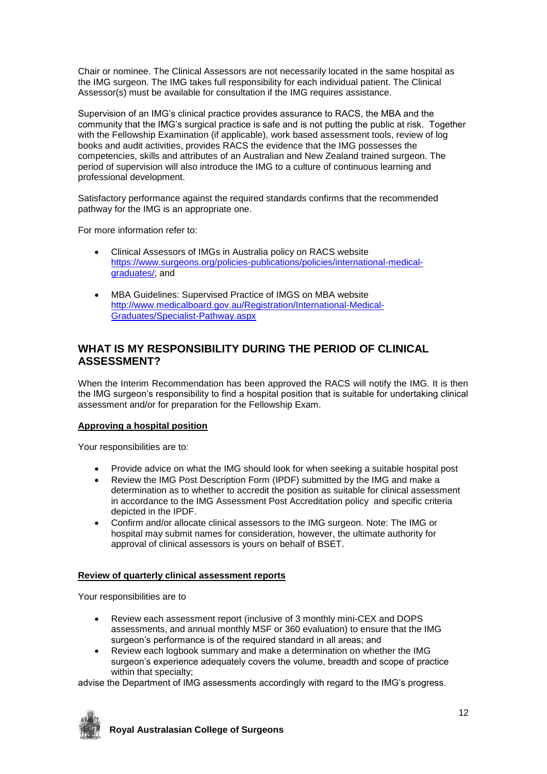Chair or nominee. The Clinical Assessors are not necessarily located in the same hospital as the IMG surgeon. The IMG takes full responsibility for each individual patient. The Clinical Assessor(s) must be available for consultation if the IMG requires assistance.

Supervision of an IMG's clinical practice provides assurance to RACS, the MBA and the community that the IMG's surgical practice is safe and is not putting the public at risk. Together with the Fellowship Examination (if applicable), work based assessment tools, review of log books and audit activities, provides RACS the evidence that the IMG possesses the competencies, skills and attributes of an Australian and New Zealand trained surgeon. The period of supervision will also introduce the IMG to a culture of continuous learning and professional development.

Satisfactory performance against the required standards confirms that the recommended pathway for the IMG is an appropriate one.

For more information refer to:

- Clinical Assessors of IMGs in Australia policy on RACS website [https://www.surgeons.org/policies-publications/policies/international-medical](https://www.surgeons.org/policies-publications/policies/international-medical-graduates/)[graduates/;](https://www.surgeons.org/policies-publications/policies/international-medical-graduates/) and
- MBA Guidelines: Supervised Practice of IMGS on MBA website [http://www.medicalboard.gov.au/Registration/International-Medical-](http://www.medicalboard.gov.au/Registration/International-Medical-Graduates/Specialist-Pathway.aspx)[Graduates/Specialist-Pathway.aspx](http://www.medicalboard.gov.au/Registration/International-Medical-Graduates/Specialist-Pathway.aspx)

# **WHAT IS MY RESPONSIBILITY DURING THE PERIOD OF CLINICAL ASSESSMENT?**

When the Interim Recommendation has been approved the RACS will notify the IMG. It is then the IMG surgeon's responsibility to find a hospital position that is suitable for undertaking clinical assessment and/or for preparation for the Fellowship Exam.

### **Approving a hospital position**

Your responsibilities are to:

- Provide advice on what the IMG should look for when seeking a suitable hospital post
- Review the IMG Post Description Form (IPDF) submitted by the IMG and make a determination as to whether to accredit the position as suitable for clinical assessment in accordance to the IMG Assessment Post Accreditation policy and specific criteria depicted in the IPDF.
- Confirm and/or allocate clinical assessors to the IMG surgeon. Note: The IMG or hospital may submit names for consideration, however, the ultimate authority for approval of clinical assessors is yours on behalf of BSET.

### **Review of quarterly clinical assessment reports**

Your responsibilities are to

- Review each assessment report (inclusive of 3 monthly mini-CEX and DOPS assessments, and annual monthly MSF or 360 evaluation) to ensure that the IMG surgeon's performance is of the required standard in all areas; and
- Review each logbook summary and make a determination on whether the IMG surgeon's experience adequately covers the volume, breadth and scope of practice within that specialty;

advise the Department of IMG assessments accordingly with regard to the IMG's progress.

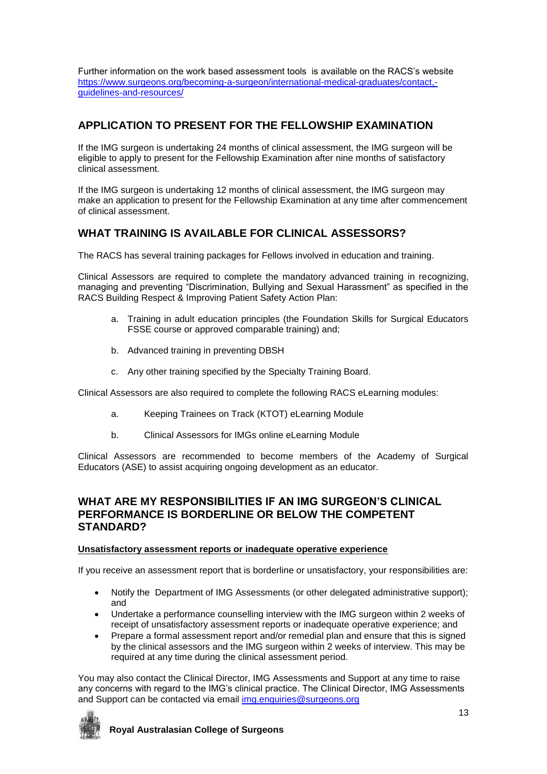Further information on the work based assessment tools is available on the RACS's website [https://www.surgeons.org/becoming-a-surgeon/international-medical-graduates/contact,](https://www.surgeons.org/becoming-a-surgeon/international-medical-graduates/contact,-guidelines-and-resources/) [guidelines-and-resources/](https://www.surgeons.org/becoming-a-surgeon/international-medical-graduates/contact,-guidelines-and-resources/)

# **APPLICATION TO PRESENT FOR THE FELLOWSHIP EXAMINATION**

If the IMG surgeon is undertaking 24 months of clinical assessment, the IMG surgeon will be eligible to apply to present for the Fellowship Examination after nine months of satisfactory clinical assessment.

If the IMG surgeon is undertaking 12 months of clinical assessment, the IMG surgeon may make an application to present for the Fellowship Examination at any time after commencement of clinical assessment.

# **WHAT TRAINING IS AVAILABLE FOR CLINICAL ASSESSORS?**

The RACS has several training packages for Fellows involved in education and training.

Clinical Assessors are required to complete the mandatory advanced training in recognizing, managing and preventing "Discrimination, Bullying and Sexual Harassment" as specified in the RACS Building Respect & Improving Patient Safety Action Plan:

- a. Training in adult education principles (the Foundation Skills for Surgical Educators FSSE course or approved comparable training) and;
- b. Advanced training in preventing DBSH
- c. Any other training specified by the Specialty Training Board.

Clinical Assessors are also required to complete the following RACS eLearning modules:

- a. Keeping Trainees on Track (KTOT) eLearning Module
- b. Clinical Assessors for IMGs online eLearning Module

Clinical Assessors are recommended to become members of the Academy of Surgical Educators (ASE) to assist acquiring ongoing development as an educator.

## **WHAT ARE MY RESPONSIBILITIES IF AN IMG SURGEON'S CLINICAL PERFORMANCE IS BORDERLINE OR BELOW THE COMPETENT STANDARD?**

### **Unsatisfactory assessment reports or inadequate operative experience**

If you receive an assessment report that is borderline or unsatisfactory, your responsibilities are:

- Notify the Department of IMG Assessments (or other delegated administrative support); and
- Undertake a performance counselling interview with the IMG surgeon within 2 weeks of receipt of unsatisfactory assessment reports or inadequate operative experience; and
- Prepare a formal assessment report and/or remedial plan and ensure that this is signed by the clinical assessors and the IMG surgeon within 2 weeks of interview. This may be required at any time during the clinical assessment period.

You may also contact the Clinical Director, IMG Assessments and Support at any time to raise any concerns with regard to the IMG's clinical practice. The Clinical Director, IMG Assessments and Support can be contacted via email [img.enquiries@surgeons.org](mailto:img.enquiries@surgeons.org)

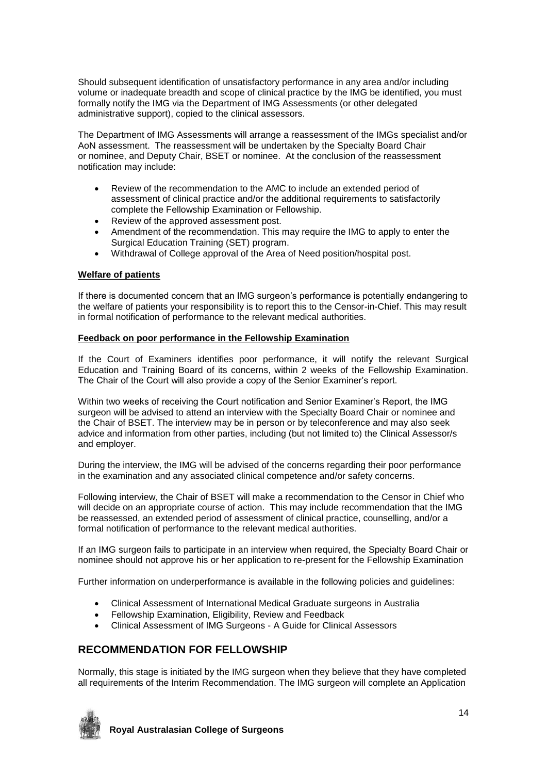Should subsequent identification of unsatisfactory performance in any area and/or including volume or inadequate breadth and scope of clinical practice by the IMG be identified, you must formally notify the IMG via the Department of IMG Assessments (or other delegated administrative support), copied to the clinical assessors.

The Department of IMG Assessments will arrange a reassessment of the IMGs specialist and/or AoN assessment. The reassessment will be undertaken by the Specialty Board Chair or nominee, and Deputy Chair, BSET or nominee. At the conclusion of the reassessment notification may include:

- Review of the recommendation to the AMC to include an extended period of assessment of clinical practice and/or the additional requirements to satisfactorily complete the Fellowship Examination or Fellowship.
- Review of the approved assessment post.
- Amendment of the recommendation. This may require the IMG to apply to enter the Surgical Education Training (SET) program.
- Withdrawal of College approval of the Area of Need position/hospital post.

## **Welfare of patients**

If there is documented concern that an IMG surgeon's performance is potentially endangering to the welfare of patients your responsibility is to report this to the Censor-in-Chief. This may result in formal notification of performance to the relevant medical authorities.

## **Feedback on poor performance in the Fellowship Examination**

If the Court of Examiners identifies poor performance, it will notify the relevant Surgical Education and Training Board of its concerns, within 2 weeks of the Fellowship Examination. The Chair of the Court will also provide a copy of the Senior Examiner's report.

Within two weeks of receiving the Court notification and Senior Examiner's Report, the IMG surgeon will be advised to attend an interview with the Specialty Board Chair or nominee and the Chair of BSET. The interview may be in person or by teleconference and may also seek advice and information from other parties, including (but not limited to) the Clinical Assessor/s and employer.

During the interview, the IMG will be advised of the concerns regarding their poor performance in the examination and any associated clinical competence and/or safety concerns.

Following interview, the Chair of BSET will make a recommendation to the Censor in Chief who will decide on an appropriate course of action. This may include recommendation that the IMG be reassessed, an extended period of assessment of clinical practice, counselling, and/or a formal notification of performance to the relevant medical authorities.

If an IMG surgeon fails to participate in an interview when required, the Specialty Board Chair or nominee should not approve his or her application to re-present for the Fellowship Examination

Further information on underperformance is available in the following policies and guidelines:

- Clinical Assessment of International Medical Graduate surgeons in Australia
- Fellowship Examination, Eligibility, Review and Feedback
- Clinical Assessment of IMG Surgeons A Guide for Clinical Assessors

# **RECOMMENDATION FOR FELLOWSHIP**

Normally, this stage is initiated by the IMG surgeon when they believe that they have completed all requirements of the Interim Recommendation. The IMG surgeon will complete an Application

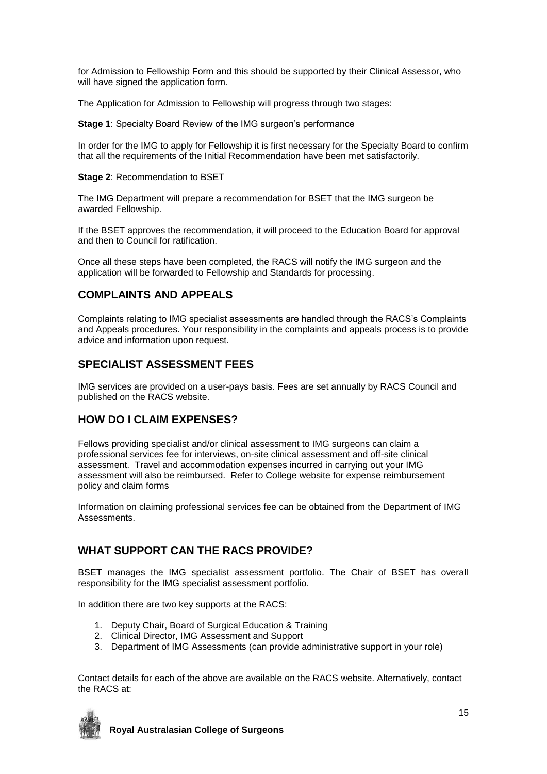for Admission to Fellowship Form and this should be supported by their Clinical Assessor, who will have signed the application form.

The Application for Admission to Fellowship will progress through two stages:

**Stage 1**: Specialty Board Review of the IMG surgeon's performance

In order for the IMG to apply for Fellowship it is first necessary for the Specialty Board to confirm that all the requirements of the Initial Recommendation have been met satisfactorily.

**Stage 2**: Recommendation to BSET

The IMG Department will prepare a recommendation for BSET that the IMG surgeon be awarded Fellowship.

If the BSET approves the recommendation, it will proceed to the Education Board for approval and then to Council for ratification.

Once all these steps have been completed, the RACS will notify the IMG surgeon and the application will be forwarded to Fellowship and Standards for processing.

## **COMPLAINTS AND APPEALS**

Complaints relating to IMG specialist assessments are handled through the RACS's Complaints and Appeals procedures. Your responsibility in the complaints and appeals process is to provide advice and information upon request.

# **SPECIALIST ASSESSMENT FEES**

IMG services are provided on a user-pays basis. Fees are set annually by RACS Council and published on the RACS website.

# **HOW DO I CLAIM EXPENSES?**

Fellows providing specialist and/or clinical assessment to IMG surgeons can claim a professional services fee for interviews, on-site clinical assessment and off-site clinical assessment. Travel and accommodation expenses incurred in carrying out your IMG assessment will also be reimbursed. Refer to College website for expense reimbursement policy and claim forms

Information on claiming professional services fee can be obtained from the Department of IMG Assessments.

# **WHAT SUPPORT CAN THE RACS PROVIDE?**

BSET manages the IMG specialist assessment portfolio. The Chair of BSET has overall responsibility for the IMG specialist assessment portfolio.

In addition there are two key supports at the RACS:

- 1. Deputy Chair, Board of Surgical Education & Training
- 2. Clinical Director, IMG Assessment and Support
- 3. Department of IMG Assessments (can provide administrative support in your role)

Contact details for each of the above are available on the RACS website. Alternatively, contact the RACS at:

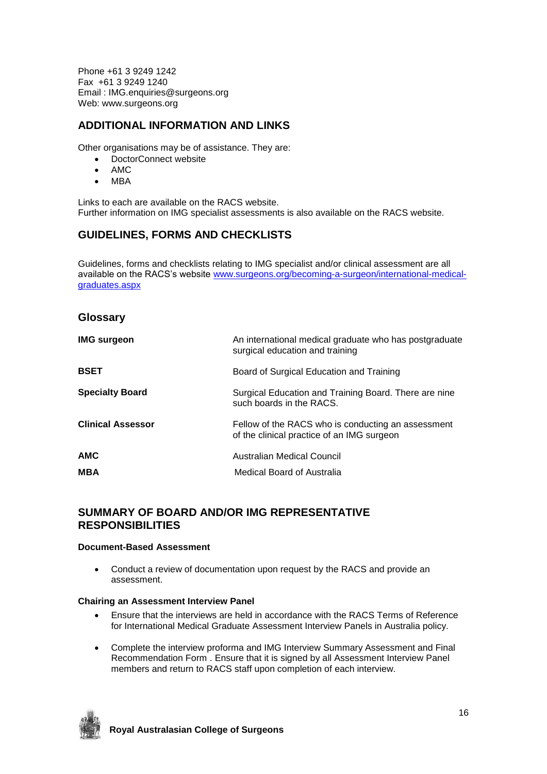Phone +61 3 9249 1242 Fax +61 3 9249 1240 Email : IMG.enquiries@surgeons.org Web: www.surgeons.org

# **ADDITIONAL INFORMATION AND LINKS**

Other organisations may be of assistance. They are:

- DoctorConnect website
- AMC
- MBA

Links to each are available on the RACS website. Further information on IMG specialist assessments is also available on the RACS website.

# **GUIDELINES, FORMS AND CHECKLISTS**

Guidelines, forms and checklists relating to IMG specialist and/or clinical assessment are all available on the RACS's website [www.surgeons.org/becoming-a-surgeon/international-medical](http://www.surgeons.org/becoming-a-surgeon/international-medical-graduates.aspx)[graduates.aspx](http://www.surgeons.org/becoming-a-surgeon/international-medical-graduates.aspx)

## **Glossary**

| <b>IMG surgeon</b>       | An international medical graduate who has postgraduate<br>surgical education and training        |
|--------------------------|--------------------------------------------------------------------------------------------------|
| <b>BSET</b>              | Board of Surgical Education and Training                                                         |
| <b>Specialty Board</b>   | Surgical Education and Training Board. There are nine<br>such boards in the RACS.                |
| <b>Clinical Assessor</b> | Fellow of the RACS who is conducting an assessment<br>of the clinical practice of an IMG surgeon |
| <b>AMC</b>               | Australian Medical Council                                                                       |
| <b>MBA</b>               | Medical Board of Australia                                                                       |

# **SUMMARY OF BOARD AND/OR IMG REPRESENTATIVE RESPONSIBILITIES**

### **Document-Based Assessment**

 Conduct a review of documentation upon request by the RACS and provide an assessment.

### **Chairing an Assessment Interview Panel**

- Ensure that the interviews are held in accordance with the RACS Terms of Reference for International Medical Graduate Assessment Interview Panels in Australia policy.
- Complete the interview proforma and IMG Interview Summary Assessment and Final Recommendation Form . Ensure that it is signed by all Assessment Interview Panel members and return to RACS staff upon completion of each interview.